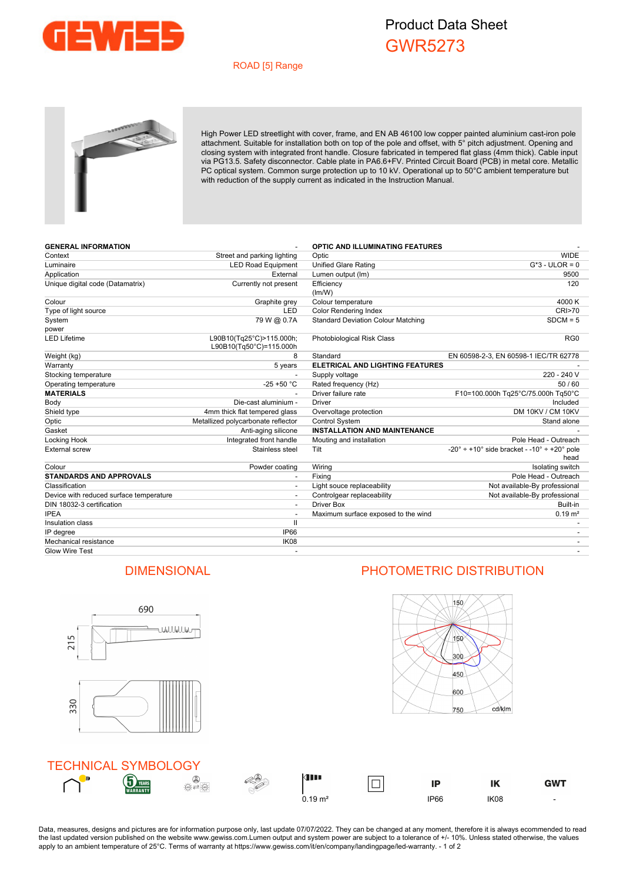

## Product Data Sheet GWR5273

## ROAD [5] Range



High Power LED streetlight with cover, frame, and EN AB 46100 low copper painted aluminium cast-iron pole attachment. Suitable for installation both on top of the pole and offset, with 5° pitch adjustment. Opening and closing system with integrated front handle. Closure fabricated in tempered flat glass (4mm thick). Cable input via PG13.5. Safety disconnector. Cable plate in PA6.6+FV. Printed Circuit Board (PCB) in metal core. Metallic PC optical system. Common surge protection up to 10 kV. Operational up to 50°C ambient temperature but with reduction of the supply current as indicated in the Instruction Manual.

| <b>GENERAL INFORMATION</b>              |                                                     | <b>OPTIC AND ILLUMINATING FEATURES</b>    |                                                                                         |
|-----------------------------------------|-----------------------------------------------------|-------------------------------------------|-----------------------------------------------------------------------------------------|
| Context                                 | Street and parking lighting                         | Optic                                     | <b>WIDE</b>                                                                             |
| Luminaire                               | <b>LED Road Equipment</b>                           | <b>Unified Glare Rating</b>               | $G*3$ - ULOR = 0                                                                        |
| Application                             | External                                            | Lumen output (lm)                         | 9500                                                                                    |
| Unique digital code (Datamatrix)        | Currently not present                               | Efficiency<br>(lm/W)                      | 120                                                                                     |
| Colour                                  | Graphite grey                                       | Colour temperature                        | 4000 K                                                                                  |
| Type of light source                    | <b>LED</b>                                          | <b>Color Rendering Index</b>              | <b>CRI&gt;70</b>                                                                        |
| System                                  | 79 W @ 0.7A                                         | <b>Standard Deviation Colour Matching</b> | $SDCM = 5$                                                                              |
| power                                   |                                                     |                                           |                                                                                         |
| <b>LED Lifetime</b>                     | L90B10(Tg25°C)>115.000h;<br>L90B10(Tq50°C)=115.000h | Photobiological Risk Class                | RG <sub>0</sub>                                                                         |
| Weight (kg)                             | 8                                                   | Standard                                  | EN 60598-2-3, EN 60598-1 IEC/TR 62778                                                   |
| Warranty                                | 5 years                                             | <b>ELETRICAL AND LIGHTING FEATURES</b>    |                                                                                         |
| Stocking temperature                    | $\overline{a}$                                      | Supply voltage                            | 220 - 240 V                                                                             |
| Operating temperature                   | $-25 + 50 °C$                                       | Rated frequency (Hz)                      | 50/60                                                                                   |
| <b>MATERIALS</b>                        |                                                     | Driver failure rate                       | F10=100.000h Tq25°C/75.000h Tq50°C                                                      |
| Body                                    | Die-cast aluminium -                                | <b>Driver</b>                             | Included                                                                                |
| Shield type                             | 4mm thick flat tempered glass                       | Overvoltage protection                    | DM 10KV / CM 10KV                                                                       |
| Optic                                   | Metallized polycarbonate reflector                  | <b>Control System</b>                     | Stand alone                                                                             |
| Gasket                                  | Anti-aging silicone                                 | <b>INSTALLATION AND MAINTENANCE</b>       |                                                                                         |
| Locking Hook                            | Integrated front handle                             | Mouting and installation                  | Pole Head - Outreach                                                                    |
| <b>External screw</b>                   | Stainless steel                                     | Tilt                                      | $-20^{\circ} \div 10^{\circ}$ side bracket - $-10^{\circ} \div 20^{\circ}$ pole<br>head |
| Colour                                  | Powder coating                                      | Wiring                                    | Isolating switch                                                                        |
| <b>STANDARDS AND APPROVALS</b>          | $\overline{a}$                                      | Fixing                                    | Pole Head - Outreach                                                                    |
| Classification                          |                                                     | Light souce replaceability                | Not available-By professional                                                           |
| Device with reduced surface temperature |                                                     | Controlgear replaceability                | Not available-By professional                                                           |
| DIN 18032-3 certification               |                                                     | Driver Box                                | Built-in                                                                                |
| <b>IPEA</b>                             | $\overline{\phantom{a}}$                            | Maximum surface exposed to the wind       | $0.19 \text{ m}^2$                                                                      |
| Insulation class                        | $\mathbf{II}$                                       |                                           |                                                                                         |
| IP degree                               | <b>IP66</b>                                         |                                           |                                                                                         |
| Mechanical resistance                   | IK08                                                |                                           |                                                                                         |
| <b>Glow Wire Test</b>                   |                                                     |                                           |                                                                                         |



Data, measures, designs and pictures are for information purpose only, last update 07/07/2022. They can be changed at any moment, therefore it is always ecommended to read the last updated version published on the website www.gewiss.com.Lumen output and system power are subject to a tolerance of +/- 10%. Unless stated otherwise, the values apply to an ambient temperature of 25°C. Terms of warranty at https://www.gewiss.com/it/en/company/landingpage/led-warranty. - 1 of 2

## DIMENSIONAL PHOTOMETRIC DISTRIBUTION